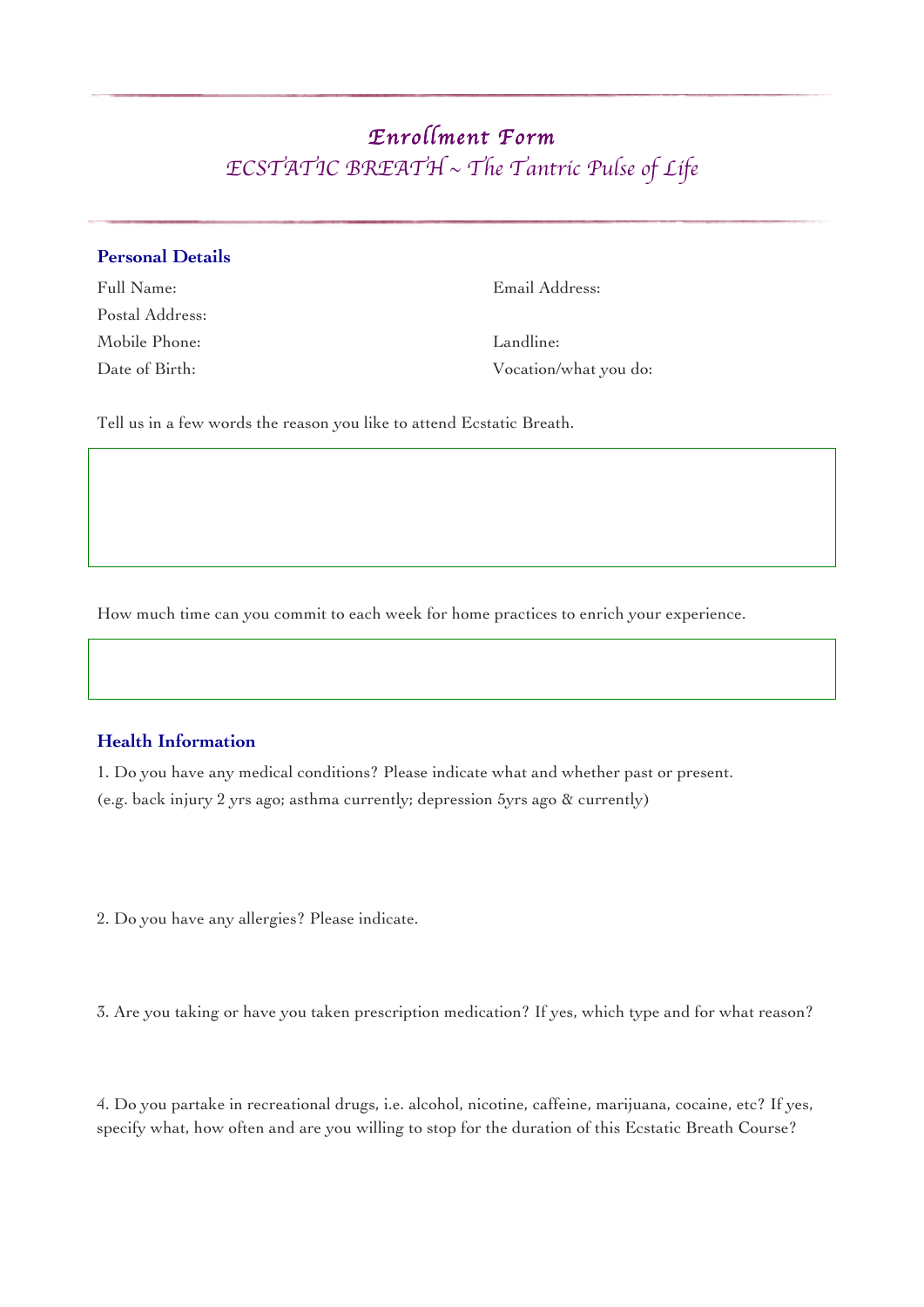# *Enrollment Form ECSTATIC BREATH* ~ *The Tantric Pulse of Life*

## **Personal Details**

Postal Address: Mobile Phone: Landline:

Full Name: Email Address:

Date of Birth: Vocation/what you do:

Tell us in a few words the reason you like to attend Ecstatic Breath.

How much time can you commit to each week for home practices to enrich your experience.

## **Health Information**

1. Do you have any medical conditions? Please indicate what and whether past or present. (e.g. back injury 2 yrs ago; asthma currently; depression 5yrs ago & currently)

2. Do you have any allergies? Please indicate.

3. Are you taking or have you taken prescription medication? If yes, which type and for what reason?

4. Do you partake in recreational drugs, i.e. alcohol, nicotine, caffeine, marijuana, cocaine, etc? If yes, specify what, how often and are you willing to stop for the duration of this Ecstatic Breath Course?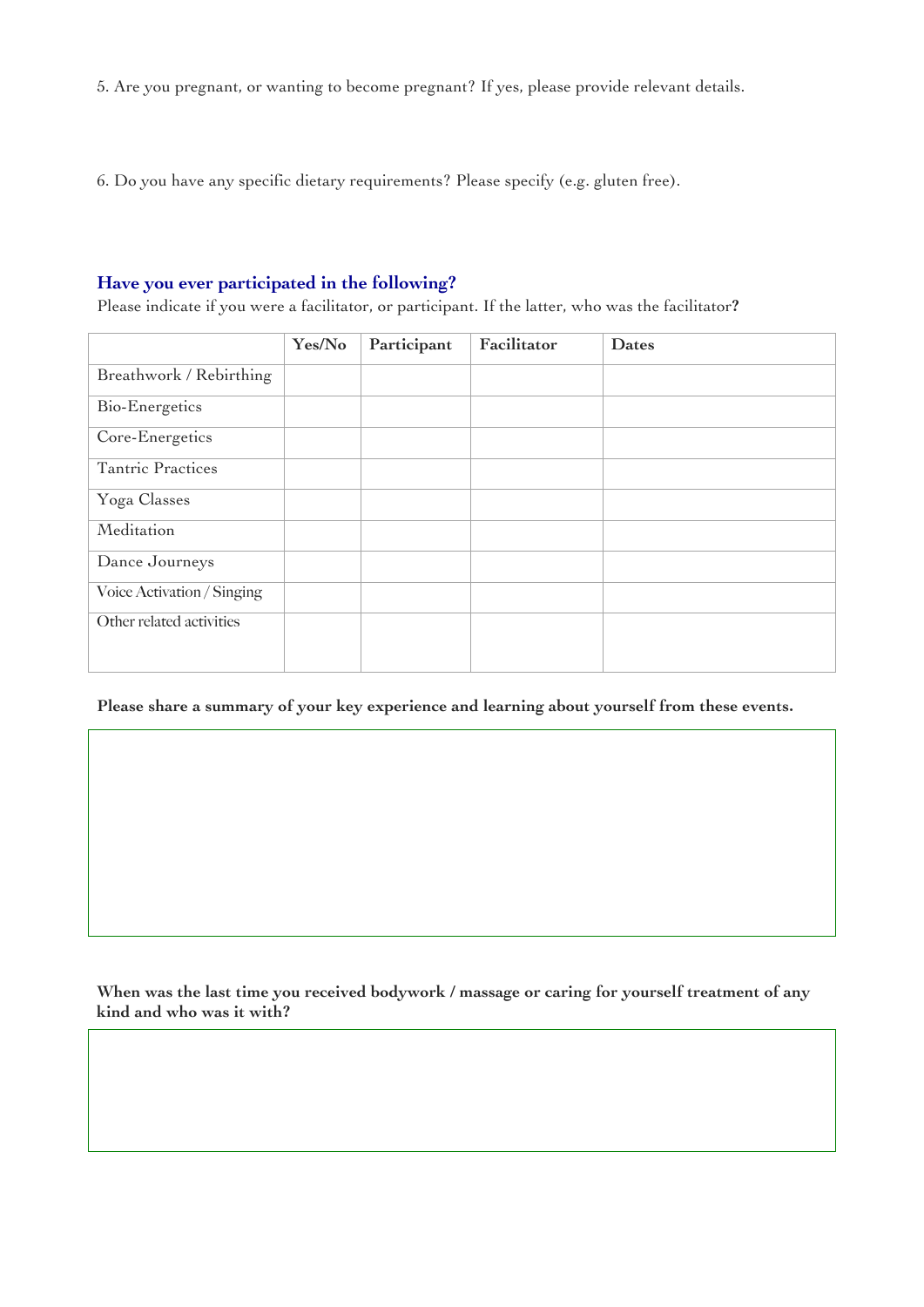5. Are you pregnant, or wanting to become pregnant? If yes, please provide relevant details.

6. Do you have any specific dietary requirements? Please specify (e.g. gluten free).

## **Have you ever participated in the following?**

Please indicate if you were a facilitator, or participant. If the latter, who was the facilitator**?**

|                            | Yes/No | Participant | Facilitator | <b>Dates</b> |
|----------------------------|--------|-------------|-------------|--------------|
| Breathwork / Rebirthing    |        |             |             |              |
| Bio-Energetics             |        |             |             |              |
| Core-Energetics            |        |             |             |              |
| Tantric Practices          |        |             |             |              |
| Yoga Classes               |        |             |             |              |
| Meditation                 |        |             |             |              |
| Dance Journeys             |        |             |             |              |
| Voice Activation / Singing |        |             |             |              |
| Other related activities   |        |             |             |              |
|                            |        |             |             |              |

**Please share a summary of your key experience and learning about yourself from these events.** 

**When was the last time you received bodywork / massage or caring for yourself treatment of any kind and who was it with?**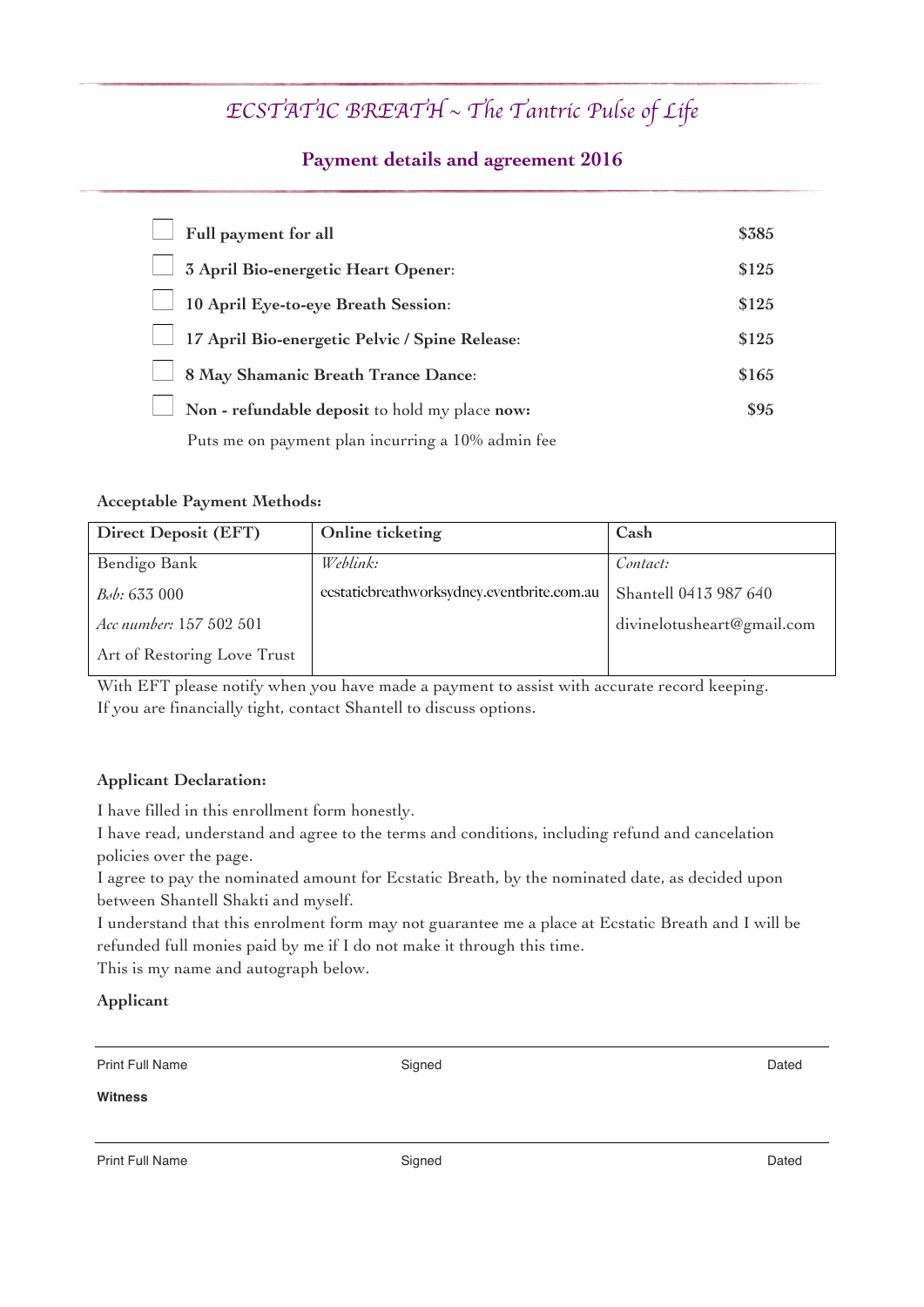# *ECSTATIC BREATH* ~ *The Tantric Pulse of Life*

## **Payment details and agreement 2016**

| Full payment for all                              | \$385 |
|---------------------------------------------------|-------|
| 3 April Bio-energetic Heart Opener:               | \$125 |
| 10 April Eye-to-eye Breath Session:               | \$125 |
| 17 April Bio-energetic Pelvic / Spine Release:    | \$125 |
| 8 May Shamanic Breath Trance Dance:               | \$165 |
| Non - refundable deposit to hold my place now:    | \$95  |
| Puts me on payment plan incurring a 10% admin fee |       |

## **Acceptable Payment Methods:**

| <b>Direct Deposit (EFT)</b> | Online ticketing                           | Cash                       |
|-----------------------------|--------------------------------------------|----------------------------|
| Bendigo Bank                | Weblink:                                   | Contact:                   |
| $B0$ : 633 000              | ecstaticbreathworksydney.eventbrite.com.au | Shantell 0413 987 640      |
| Acc number: 157 502 501     |                                            | divinelotusheart@gmail.com |
| Art of Restoring Love Trust |                                            |                            |

With EFT please notify when you have made a payment to assist with accurate record keeping. If you are financially tight, contact Shantell to discuss options.

## **Applicant Declaration:**

I have filled in this enrollment form honestly.

I have read, understand and agree to the terms and conditions, including refund and cancelation policies over the page.

I agree to pay the nominated amount for Ecstatic Breath, by the nominated date, as decided upon between Shantell Shakti and myself.

I understand that this enrolment form may not guarantee me a place at Ecstatic Breath and I will be refunded full monies paid by me if I do not make it through this time.

This is my name and autograph below.

### **Applicant**

| <b>Print Full Name</b> | Sianed | Dated |
|------------------------|--------|-------|
|                        |        |       |

#### **Witness**

Print Full Name **Dated** Dated Dated Signed **Containers and Dated** Dated Dated Dated Dated Dated Dated Dated Dated Dated Dated Dated Dated Dated Dated Dated Dated Dated Dated Dated Dated Dated Dated Dated Dated Dated Dated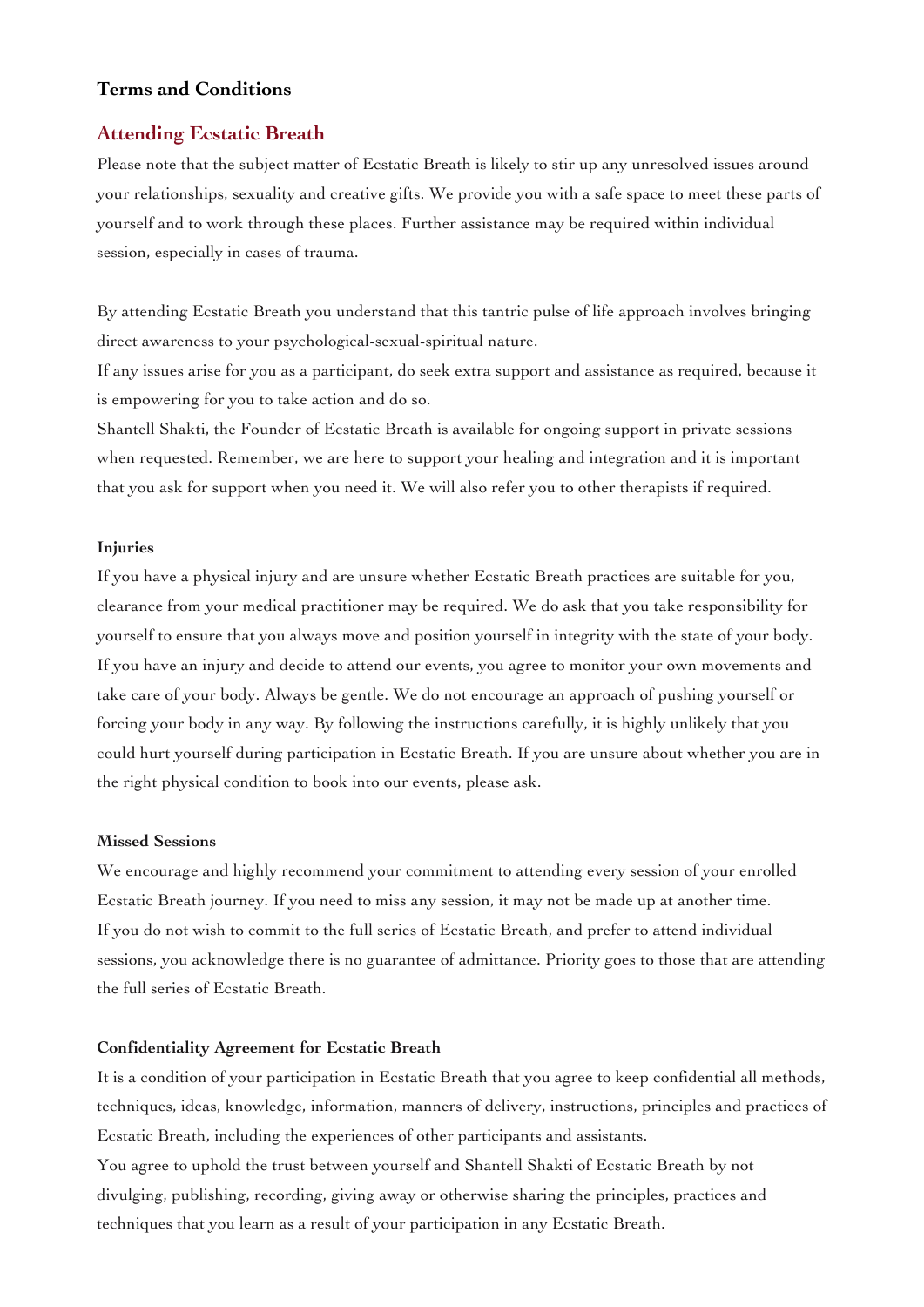### **Terms and Conditions**

#### **Attending Ecstatic Breath**

Please note that the subject matter of Ecstatic Breath is likely to stir up any unresolved issues around your relationships, sexuality and creative gifts. We provide you with a safe space to meet these parts of yourself and to work through these places. Further assistance may be required within individual session, especially in cases of trauma.

By attending Ecstatic Breath you understand that this tantric pulse of life approach involves bringing direct awareness to your psychological-sexual-spiritual nature.

If any issues arise for you as a participant, do seek extra support and assistance as required, because it is empowering for you to take action and do so.

Shantell Shakti, the Founder of Ecstatic Breath is available for ongoing support in private sessions when requested. Remember, we are here to support your healing and integration and it is important that you ask for support when you need it. We will also refer you to other therapists if required.

#### **Injuries**

If you have a physical injury and are unsure whether Ecstatic Breath practices are suitable for you, clearance from your medical practitioner may be required. We do ask that you take responsibility for yourself to ensure that you always move and position yourself in integrity with the state of your body. If you have an injury and decide to attend our events, you agree to monitor your own movements and take care of your body. Always be gentle. We do not encourage an approach of pushing yourself or forcing your body in any way. By following the instructions carefully, it is highly unlikely that you could hurt yourself during participation in Ecstatic Breath. If you are unsure about whether you are in the right physical condition to book into our events, please ask.

#### **Missed Sessions**

We encourage and highly recommend your commitment to attending every session of your enrolled Ecstatic Breath journey. If you need to miss any session, it may not be made up at another time. If you do not wish to commit to the full series of Ecstatic Breath, and prefer to attend individual sessions, you acknowledge there is no guarantee of admittance. Priority goes to those that are attending the full series of Ecstatic Breath.

#### **Confidentiality Agreement for Ecstatic Breath**

It is a condition of your participation in Ecstatic Breath that you agree to keep confidential all methods, techniques, ideas, knowledge, information, manners of delivery, instructions, principles and practices of Ecstatic Breath, including the experiences of other participants and assistants. You agree to uphold the trust between yourself and Shantell Shakti of Ecstatic Breath by not divulging, publishing, recording, giving away or otherwise sharing the principles, practices and

techniques that you learn as a result of your participation in any Ecstatic Breath.